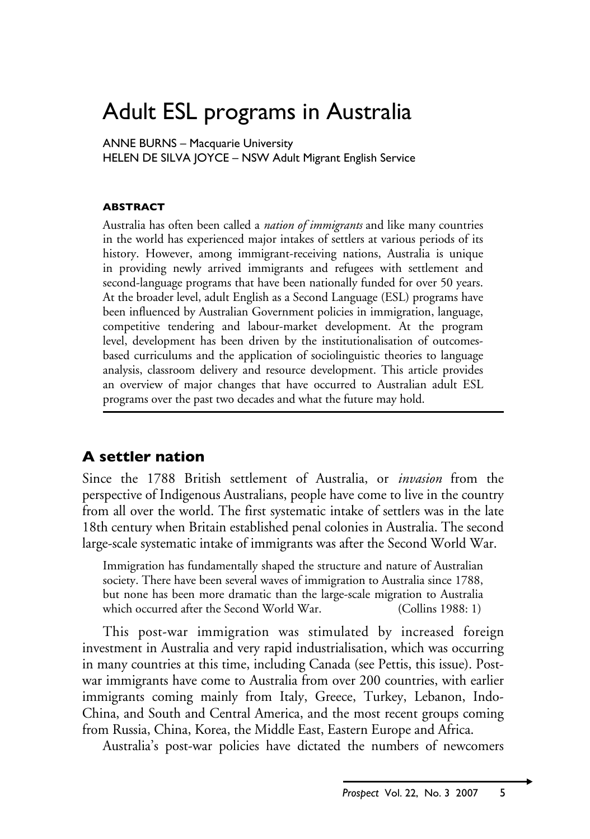# Adult ESL programs in Australia

ANNE BURNS – Macquarie University

HELEN DE SILVA JOYCE – NSW Adult Migrant English Service

### **Abstract**

Australia has often been called a *nation of immigrants* and like many countries in the world has experienced major intakes of settlers at various periods of its history. However, among immigrant-receiving nations, Australia is unique in providing newly arrived immigrants and refugees with settlement and second-language programs that have been nationally funded for over 50 years. At the broader level, adult English as a Second Language (ESL) programs have been influenced by Australian Government policies in immigration, language, competitive tendering and labour-market development. At the program level, development has been driven by the institutionalisation of outcomesbased curriculums and the application of sociolinguistic theories to language analysis, classroom delivery and resource development. This article provides an overview of major changes that have occurred to Australian adult ESL programs over the past two decades and what the future may hold.

## **A settler nation**

Since the 1788 British settlement of Australia, or *invasion* from the perspective of Indigenous Australians, people have come to live in the country from all over the world. The first systematic intake of settlers was in the late 18th century when Britain established penal colonies in Australia. The second large-scale systematic intake of immigrants was after the Second World War.

Immigration has fundamentally shaped the structure and nature of Australian society. There have been several waves of immigration to Australia since 1788, but none has been more dramatic than the large-scale migration to Australia which occurred after the Second World War. (Collins 1988: 1)

This post-war immigration was stimulated by increased foreign investment in Australia and very rapid industrialisation, which was occurring in many countries at this time, including Canada (see Pettis, this issue). Postwar immigrants have come to Australia from over 200 countries, with earlier immigrants coming mainly from Italy, Greece, Turkey, Lebanon, Indo-China, and South and Central America, and the most recent groups coming from Russia, China, Korea, the Middle East, Eastern Europe and Africa.

Australia's post-war policies have dictated the numbers of newcomers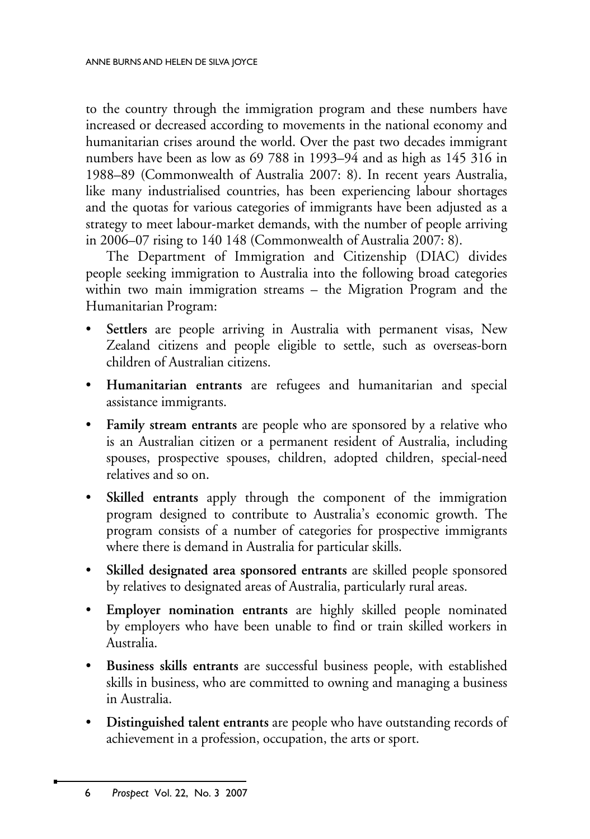to the country through the immigration program and these numbers have increased or decreased according to movements in the national economy and humanitarian crises around the world. Over the past two decades immigrant numbers have been as low as 69 788 in 1993–94 and as high as 145 316 in 1988–89 (Commonwealth of Australia 2007: 8). In recent years Australia, like many industrialised countries, has been experiencing labour shortages and the quotas for various categories of immigrants have been adjusted as a strategy to meet labour-market demands, with the number of people arriving in 2006–07 rising to 140 148 (Commonwealth of Australia 2007: 8).

The Department of Immigration and Citizenship (DIAC) divides people seeking immigration to Australia into the following broad categories within two main immigration streams – the Migration Program and the Humanitarian Program:

- **Settlers** are people arriving in Australia with permanent visas, New Zealand citizens and people eligible to settle, such as overseas-born children of Australian citizens.
- • **Humanitarian entrants** are refugees and humanitarian and special assistance immigrants.
- **Family stream entrants** are people who are sponsored by a relative who is an Australian citizen or a permanent resident of Australia, including spouses, prospective spouses, children, adopted children, special-need relatives and so on.
- • **Skilled entrants** apply through the component of the immigration program designed to contribute to Australia's economic growth. The program consists of a number of categories for prospective immigrants where there is demand in Australia for particular skills.
- • **Skilled designated area sponsored entrants** are skilled people sponsored by relatives to designated areas of Australia, particularly rural areas.
- • **Employer nomination entrants** are highly skilled people nominated by employers who have been unable to find or train skilled workers in Australia.
- **Business skills entrants** are successful business people, with established skills in business, who are committed to owning and managing a business in Australia.
- • **Distinguished talent entrants** are people who have outstanding records of achievement in a profession, occupation, the arts or sport.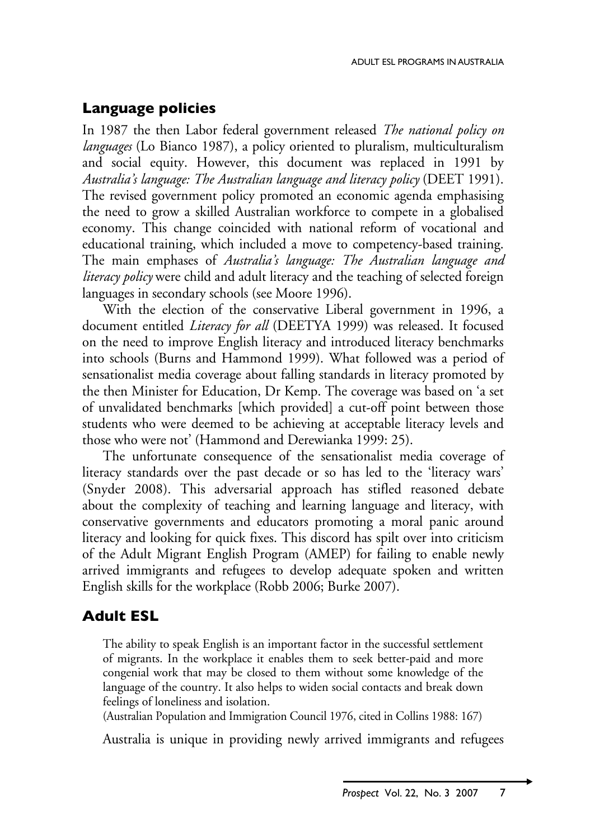# **Language policies**

In 1987 the then Labor federal government released *The national policy on languages* (Lo Bianco 1987), a policy oriented to pluralism, multiculturalism and social equity. However, this document was replaced in 1991 by *Australia's language: The Australian language and literacy policy* (DEET 1991). The revised government policy promoted an economic agenda emphasising the need to grow a skilled Australian workforce to compete in a globalised economy. This change coincided with national reform of vocational and educational training, which included a move to competency-based training. The main emphases of *Australia's language: The Australian language and literacy policy* were child and adult literacy and the teaching of selected foreign languages in secondary schools (see Moore 1996).

With the election of the conservative Liberal government in 1996, a document entitled *Literacy for all* (DEETYA 1999) was released. It focused on the need to improve English literacy and introduced literacy benchmarks into schools (Burns and Hammond 1999). What followed was a period of sensationalist media coverage about falling standards in literacy promoted by the then Minister for Education, Dr Kemp. The coverage was based on 'a set of unvalidated benchmarks [which provided] a cut-off point between those students who were deemed to be achieving at acceptable literacy levels and those who were not' (Hammond and Derewianka 1999: 25).

The unfortunate consequence of the sensationalist media coverage of literacy standards over the past decade or so has led to the 'literacy wars' (Snyder 2008). This adversarial approach has stifled reasoned debate about the complexity of teaching and learning language and literacy, with conservative governments and educators promoting a moral panic around literacy and looking for quick fixes. This discord has spilt over into criticism of the Adult Migrant English Program (AMEP) for failing to enable newly arrived immigrants and refugees to develop adequate spoken and written English skills for the workplace (Robb 2006; Burke 2007).

# **Adult ESL**

The ability to speak English is an important factor in the successful settlement of migrants. In the workplace it enables them to seek better-paid and more congenial work that may be closed to them without some knowledge of the language of the country. It also helps to widen social contacts and break down feelings of loneliness and isolation.

(Australian Population and Immigration Council 1976, cited in Collins 1988: 167)

Australia is unique in providing newly arrived immigrants and refugees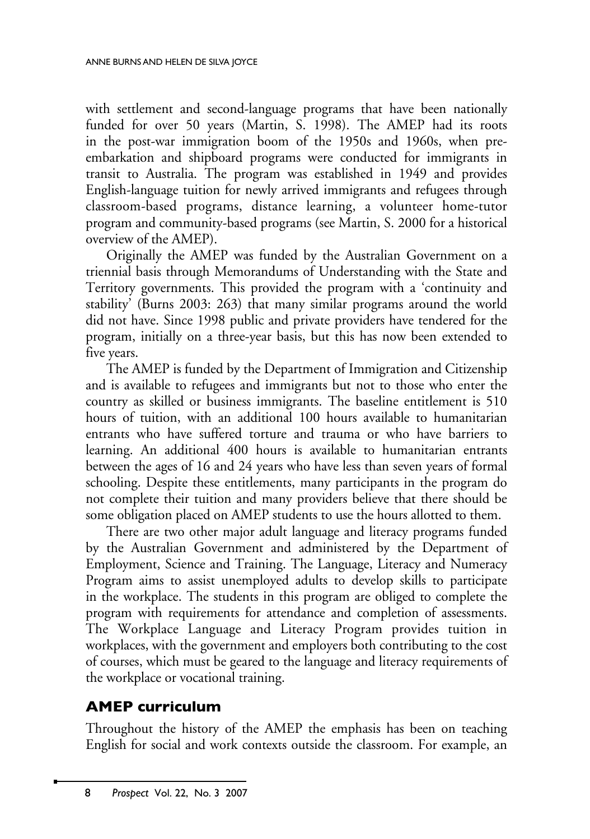with settlement and second-language programs that have been nationally funded for over 50 years (Martin, S. 1998). The AMEP had its roots in the post-war immigration boom of the 1950s and 1960s, when preembarkation and shipboard programs were conducted for immigrants in transit to Australia. The program was established in 1949 and provides English-language tuition for newly arrived immigrants and refugees through classroom-based programs, distance learning, a volunteer home-tutor program and community-based programs (see Martin, S. 2000 for a historical overview of the AMEP).

Originally the AMEP was funded by the Australian Government on a triennial basis through Memorandums of Understanding with the State and Territory governments. This provided the program with a 'continuity and stability' (Burns 2003: 263) that many similar programs around the world did not have. Since 1998 public and private providers have tendered for the program, initially on a three-year basis, but this has now been extended to five years.

The AMEP is funded by the Department of Immigration and Citizenship and is available to refugees and immigrants but not to those who enter the country as skilled or business immigrants. The baseline entitlement is 510 hours of tuition, with an additional 100 hours available to humanitarian entrants who have suffered torture and trauma or who have barriers to learning. An additional 400 hours is available to humanitarian entrants between the ages of 16 and 24 years who have less than seven years of formal schooling. Despite these entitlements, many participants in the program do not complete their tuition and many providers believe that there should be some obligation placed on AMEP students to use the hours allotted to them.

There are two other major adult language and literacy programs funded by the Australian Government and administered by the Department of Employment, Science and Training. The Language, Literacy and Numeracy Program aims to assist unemployed adults to develop skills to participate in the workplace. The students in this program are obliged to complete the program with requirements for attendance and completion of assessments. The Workplace Language and Literacy Program provides tuition in workplaces, with the government and employers both contributing to the cost of courses, which must be geared to the language and literacy requirements of the workplace or vocational training.

# **AMEP curriculum**

Throughout the history of the AMEP the emphasis has been on teaching English for social and work contexts outside the classroom. For example, an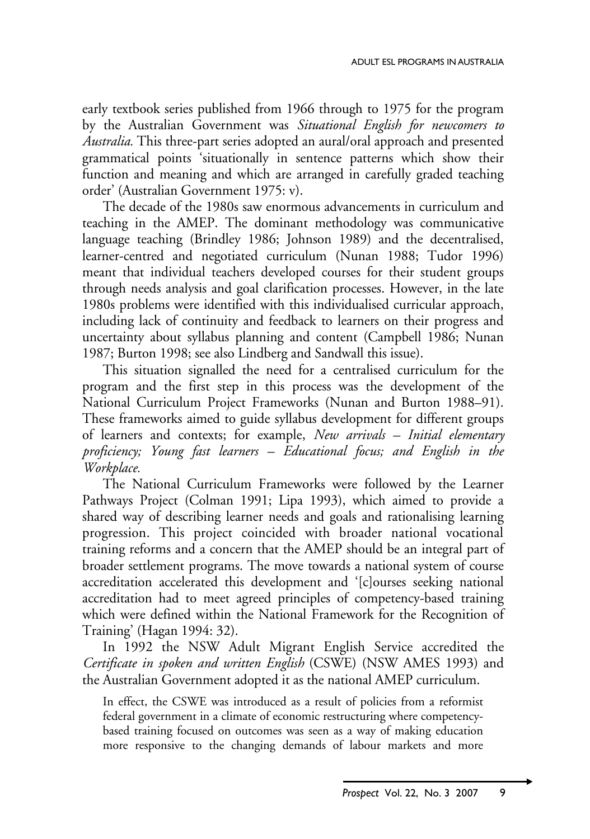early textbook series published from 1966 through to 1975 for the program by the Australian Government was *Situational English for newcomers to Australia.* This three-part series adopted an aural/oral approach and presented grammatical points 'situationally in sentence patterns which show their function and meaning and which are arranged in carefully graded teaching order' (Australian Government 1975: v).

The decade of the 1980s saw enormous advancements in curriculum and teaching in the AMEP. The dominant methodology was communicative language teaching (Brindley 1986; Johnson 1989) and the decentralised, learner-centred and negotiated curriculum (Nunan 1988; Tudor 1996) meant that individual teachers developed courses for their student groups through needs analysis and goal clarification processes. However, in the late 1980s problems were identified with this individualised curricular approach, including lack of continuity and feedback to learners on their progress and uncertainty about syllabus planning and content (Campbell 1986; Nunan 1987; Burton 1998; see also Lindberg and Sandwall this issue).

This situation signalled the need for a centralised curriculum for the program and the first step in this process was the development of the National Curriculum Project Frameworks (Nunan and Burton 1988–91). These frameworks aimed to guide syllabus development for different groups of learners and contexts; for example, *New arrivals – Initial elementary proficiency; Young fast learners – Educational focus; and English in the Workplace.* 

The National Curriculum Frameworks were followed by the Learner Pathways Project (Colman 1991; Lipa 1993), which aimed to provide a shared way of describing learner needs and goals and rationalising learning progression. This project coincided with broader national vocational training reforms and a concern that the AMEP should be an integral part of broader settlement programs. The move towards a national system of course accreditation accelerated this development and '[c]ourses seeking national accreditation had to meet agreed principles of competency-based training which were defined within the National Framework for the Recognition of Training' (Hagan 1994: 32).

In 1992 the NSW Adult Migrant English Service accredited the *Certificate in spoken and written English* (CSWE) (NSW AMES 1993) and the Australian Government adopted it as the national AMEP curriculum.

In effect, the CSWE was introduced as a result of policies from a reformist federal government in a climate of economic restructuring where competencybased training focused on outcomes was seen as a way of making education more responsive to the changing demands of labour markets and more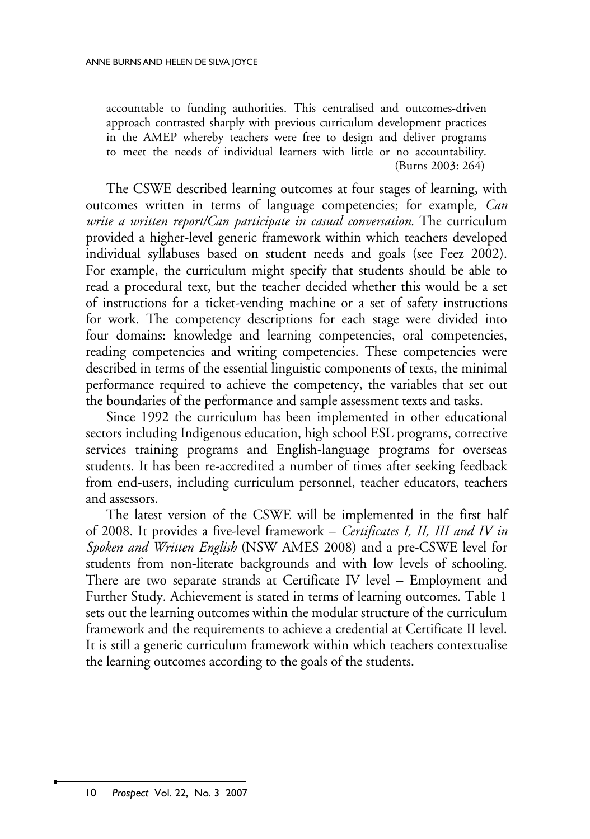accountable to funding authorities. This centralised and outcomes-driven approach contrasted sharply with previous curriculum development practices in the AMEP whereby teachers were free to design and deliver programs to meet the needs of individual learners with little or no accountability. (Burns 2003: 264)

The CSWE described learning outcomes at four stages of learning, with outcomes written in terms of language competencies; for example, *Can write a written report/Can participate in casual conversation.* The curriculum provided a higher-level generic framework within which teachers developed individual syllabuses based on student needs and goals (see Feez 2002). For example, the curriculum might specify that students should be able to read a procedural text, but the teacher decided whether this would be a set of instructions for a ticket-vending machine or a set of safety instructions for work. The competency descriptions for each stage were divided into four domains: knowledge and learning competencies, oral competencies, reading competencies and writing competencies. These competencies were described in terms of the essential linguistic components of texts, the minimal performance required to achieve the competency, the variables that set out the boundaries of the performance and sample assessment texts and tasks.

Since 1992 the curriculum has been implemented in other educational sectors including Indigenous education, high school ESL programs, corrective services training programs and English-language programs for overseas students. It has been re-accredited a number of times after seeking feedback from end-users, including curriculum personnel, teacher educators, teachers and assessors.

The latest version of the CSWE will be implemented in the first half of 2008. It provides a five-level framework – *Certificates I, II, III and IV in Spoken and Written English* (NSW AMES 2008) and a pre-CSWE level for students from non-literate backgrounds and with low levels of schooling. There are two separate strands at Certificate IV level – Employment and Further Study. Achievement is stated in terms of learning outcomes. Table 1 sets out the learning outcomes within the modular structure of the curriculum framework and the requirements to achieve a credential at Certificate II level. It is still a generic curriculum framework within which teachers contextualise the learning outcomes according to the goals of the students.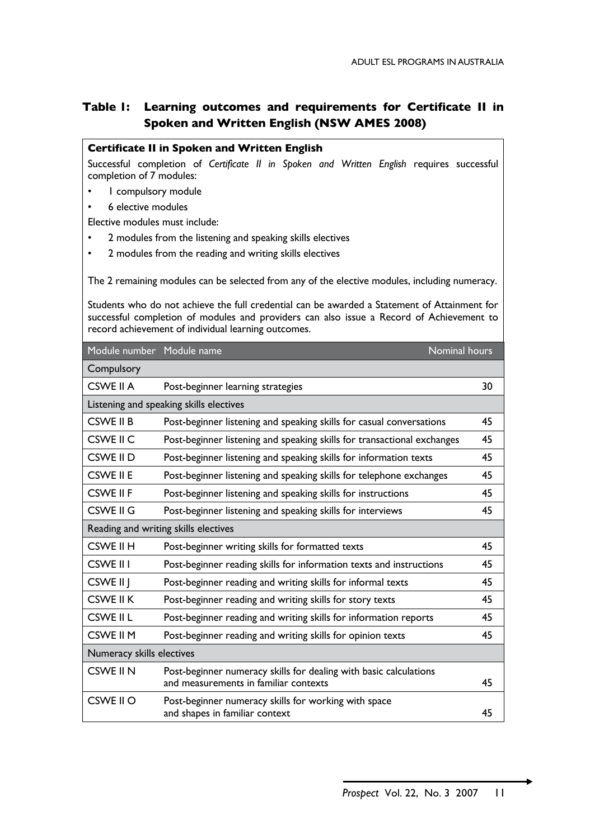## **Table 1: Learning outcomes and requirements for Certificate II in Spoken and Written English (NSW AMES 2008)**

#### **Certificate II in Spoken and Written English**

Successful completion of *Certificate II in Spoken and Written English* requires successful completion of 7 modules:

- I compulsory module
- 6 elective modules

Elective modules must include:

- 2 modules from the listening and speaking skills electives
- • 2 modules from the reading and writing skills electives

The 2 remaining modules can be selected from any of the elective modules, including numeracy.

Students who do not achieve the full credential can be awarded a Statement of Attainment for successful completion of modules and providers can also issue a Record of Achievement to record achievement of individual learning outcomes.

| Module number Module name               |                                                                                                            | Nominal hours |
|-----------------------------------------|------------------------------------------------------------------------------------------------------------|---------------|
| Compulsory                              |                                                                                                            |               |
| CSWE II A                               | Post-beginner learning strategies                                                                          | 30            |
| Listening and speaking skills electives |                                                                                                            |               |
| CSWE II B                               | Post-beginner listening and speaking skills for casual conversations                                       | 45            |
| CSWE II C                               | Post-beginner listening and speaking skills for transactional exchanges                                    | 45            |
| CSWE II D                               | Post-beginner listening and speaking skills for information texts                                          | 45            |
| CSWE II E                               | Post-beginner listening and speaking skills for telephone exchanges                                        | 45            |
| CSWE II F                               | Post-beginner listening and speaking skills for instructions                                               | 45            |
| CSWE II G                               | Post-beginner listening and speaking skills for interviews                                                 | 45            |
| Reading and writing skills electives    |                                                                                                            |               |
| CSWE II H                               | Post-beginner writing skills for formatted texts                                                           | 45            |
| CSWE II I                               | Post-beginner reading skills for information texts and instructions                                        | 45            |
| CSWE II J                               | Post-beginner reading and writing skills for informal texts                                                | 45            |
| CSWE II K                               | Post-beginner reading and writing skills for story texts                                                   | 45            |
| CSWE II L                               | Post-beginner reading and writing skills for information reports                                           | 45            |
| CSWE II M                               | Post-beginner reading and writing skills for opinion texts                                                 | 45            |
| Numeracy skills electives               |                                                                                                            |               |
| CSWE II N                               | Post-beginner numeracy skills for dealing with basic calculations<br>and measurements in familiar contexts | 45            |
| CSWE II O                               | Post-beginner numeracy skills for working with space<br>and shapes in familiar context                     | 45            |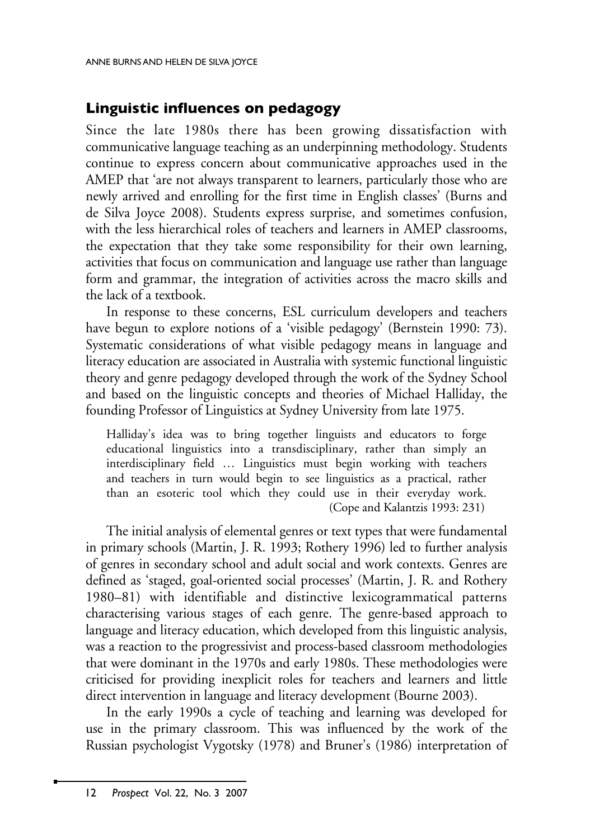# **Linguistic influences on pedagogy**

Since the late 1980s there has been growing dissatisfaction with communicative language teaching as an underpinning methodology. Students continue to express concern about communicative approaches used in the AMEP that 'are not always transparent to learners, particularly those who are newly arrived and enrolling for the first time in English classes' (Burns and de Silva Joyce 2008). Students express surprise, and sometimes confusion, with the less hierarchical roles of teachers and learners in AMEP classrooms, the expectation that they take some responsibility for their own learning, activities that focus on communication and language use rather than language form and grammar, the integration of activities across the macro skills and the lack of a textbook.

In response to these concerns, ESL curriculum developers and teachers have begun to explore notions of a 'visible pedagogy' (Bernstein 1990: 73). Systematic considerations of what visible pedagogy means in language and literacy education are associated in Australia with systemic functional linguistic theory and genre pedagogy developed through the work of the Sydney School and based on the linguistic concepts and theories of Michael Halliday, the founding Professor of Linguistics at Sydney University from late 1975.

Halliday's idea was to bring together linguists and educators to forge educational linguistics into a transdisciplinary, rather than simply an interdisciplinary field … Linguistics must begin working with teachers and teachers in turn would begin to see linguistics as a practical, rather than an esoteric tool which they could use in their everyday work. (Cope and Kalantzis 1993: 231)

The initial analysis of elemental genres or text types that were fundamental in primary schools (Martin, J. R. 1993; Rothery 1996) led to further analysis of genres in secondary school and adult social and work contexts. Genres are defined as 'staged, goal-oriented social processes' (Martin, J. R. and Rothery 1980–81) with identifiable and distinctive lexicogrammatical patterns characterising various stages of each genre. The genre-based approach to language and literacy education, which developed from this linguistic analysis, was a reaction to the progressivist and process-based classroom methodologies that were dominant in the 1970s and early 1980s. These methodologies were criticised for providing inexplicit roles for teachers and learners and little direct intervention in language and literacy development (Bourne 2003).

In the early 1990s a cycle of teaching and learning was developed for use in the primary classroom. This was influenced by the work of the Russian psychologist Vygotsky (1978) and Bruner's (1986) interpretation of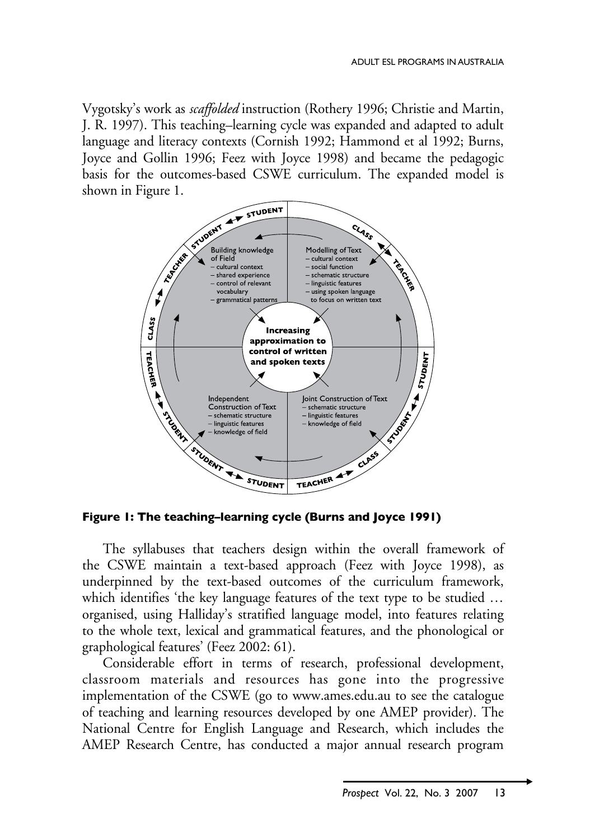Vygotsky's work as *scaffolded* instruction (Rothery 1996; Christie and Martin, J. R. 1997). This teaching–learning cycle was expanded and adapted to adult language and literacy contexts (Cornish 1992; Hammond et al 1992; Burns, Joyce and Gollin 1996; Feez with Joyce 1998) and became the pedagogic basis for the outcomes-based CSWE curriculum. The expanded model is shown in Figure 1.



**Figure 1: The teaching–learning cycle (Burns and Joyce 1991)**

The syllabuses that teachers design within the overall framework of the CSWE maintain a text-based approach (Feez with Joyce 1998), as underpinned by the text-based outcomes of the curriculum framework, which identifies 'the key language features of the text type to be studied … organised, using Halliday's stratified language model, into features relating to the whole text, lexical and grammatical features, and the phonological or graphological features' (Feez 2002: 61).

Considerable effort in terms of research, professional development, classroom materials and resources has gone into the progressive implementation of the CSWE (go to www.ames.edu.au to see the catalogue of teaching and learning resources developed by one AMEP provider). The National Centre for English Language and Research, which includes the AMEP Research Centre, has conducted a major annual research program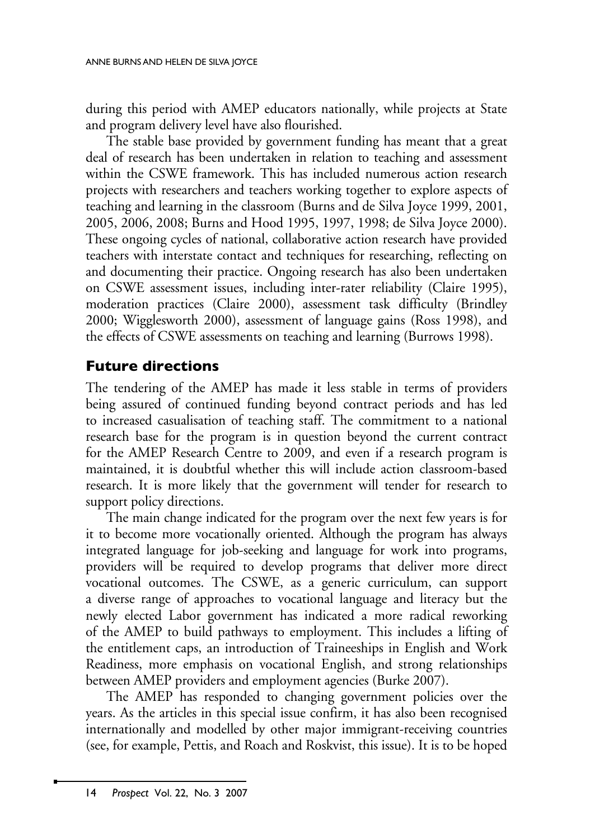during this period with AMEP educators nationally, while projects at State and program delivery level have also flourished.

The stable base provided by government funding has meant that a great deal of research has been undertaken in relation to teaching and assessment within the CSWE framework. This has included numerous action research projects with researchers and teachers working together to explore aspects of teaching and learning in the classroom (Burns and de Silva Joyce 1999, 2001, 2005, 2006, 2008; Burns and Hood 1995, 1997, 1998; de Silva Joyce 2000). These ongoing cycles of national, collaborative action research have provided teachers with interstate contact and techniques for researching, reflecting on and documenting their practice. Ongoing research has also been undertaken on CSWE assessment issues, including inter-rater reliability (Claire 1995), moderation practices (Claire 2000), assessment task difficulty (Brindley 2000; Wigglesworth 2000), assessment of language gains (Ross 1998), and the effects of CSWE assessments on teaching and learning (Burrows 1998).

## **Future directions**

The tendering of the AMEP has made it less stable in terms of providers being assured of continued funding beyond contract periods and has led to increased casualisation of teaching staff. The commitment to a national research base for the program is in question beyond the current contract for the AMEP Research Centre to 2009, and even if a research program is maintained, it is doubtful whether this will include action classroom-based research. It is more likely that the government will tender for research to support policy directions.

The main change indicated for the program over the next few years is for it to become more vocationally oriented. Although the program has always integrated language for job-seeking and language for work into programs, providers will be required to develop programs that deliver more direct vocational outcomes. The CSWE, as a generic curriculum, can support a diverse range of approaches to vocational language and literacy but the newly elected Labor government has indicated a more radical reworking of the AMEP to build pathways to employment. This includes a lifting of the entitlement caps, an introduction of Traineeships in English and Work Readiness, more emphasis on vocational English, and strong relationships between AMEP providers and employment agencies (Burke 2007).

The AMEP has responded to changing government policies over the years. As the articles in this special issue confirm, it has also been recognised internationally and modelled by other major immigrant-receiving countries (see, for example, Pettis, and Roach and Roskvist, this issue). It is to be hoped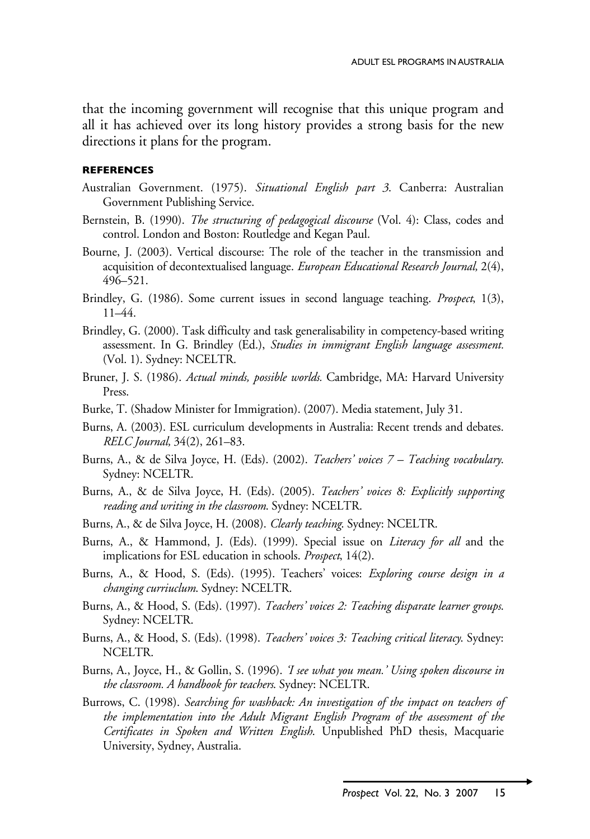that the incoming government will recognise that this unique program and all it has achieved over its long history provides a strong basis for the new directions it plans for the program.

#### **References**

- Australian Government. (1975). *Situational English part 3*. Canberra: Australian Government Publishing Service.
- Bernstein, B. (1990). *The structuring of pedagogical discourse* (Vol. 4): Class, codes and control. London and Boston: Routledge and Kegan Paul.
- Bourne, J. (2003). Vertical discourse: The role of the teacher in the transmission and acquisition of decontextualised language. *European Educational Research Journal,* 2(4), 496–521.
- Brindley, G. (1986). Some current issues in second language teaching. *Prospect*, 1(3), 11–44.
- Brindley, G. (2000). Task difficulty and task generalisability in competency-based writing assessment. In G. Brindley (Ed.), *Studies in immigrant English language assessment.*  (Vol. 1). Sydney: NCELTR.
- Bruner, J. S. (1986). *Actual minds, possible worlds.* Cambridge, MA: Harvard University Press.
- Burke, T. (Shadow Minister for Immigration). (2007). Media statement, July 31.
- Burns, A. (2003). ESL curriculum developments in Australia: Recent trends and debates. *RELC Journal,* 34(2), 261–83.
- Burns, A., & de Silva Joyce, H. (Eds). (2002). *Teachers' voices 7 Teaching vocabulary*. Sydney: NCELTR.
- Burns, A., & de Silva Joyce, H. (Eds). (2005). *Teachers' voices 8: Explicitly supporting reading and writing in the classroom*. Sydney: NCELTR.
- Burns, A., & de Silva Joyce, H. (2008). *Clearly teaching*. Sydney: NCELTR.
- Burns, A., & Hammond, J. (Eds). (1999). Special issue on *Literacy for all* and the implications for ESL education in schools. *Prospect*, 14(2).
- Burns, A., & Hood, S. (Eds). (1995). Teachers' voices: *Exploring course design in a changing curriuclum*. Sydney: NCELTR.
- Burns, A., & Hood, S. (Eds). (1997). *Teachers' voices 2: Teaching disparate learner groups*. Sydney: NCELTR.
- Burns, A., & Hood, S. (Eds). (1998). *Teachers' voices 3: Teaching critical literacy*. Sydney: NCELTR.
- Burns, A., Joyce, H., & Gollin, S. (1996). *'I see what you mean.' Using spoken discourse in the classroom. A handbook for teachers*. Sydney: NCELTR.
- Burrows, C. (1998). *Searching for washback: An investigation of the impact on teachers of the implementation into the Adult Migrant English Program of the assessment of the Certificates in Spoken and Written English*. Unpublished PhD thesis, Macquarie University, Sydney, Australia.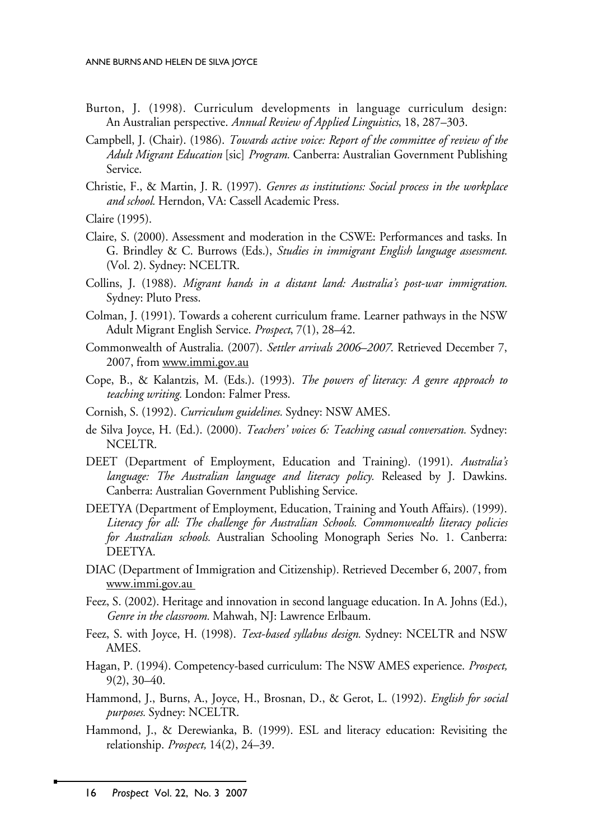- Burton, J. (1998). Curriculum developments in language curriculum design: An Australian perspective. *Annual Review of Applied Linguistics*, 18, 287–303.
- Campbell, J. (Chair). (1986). *Towards active voice: Report of the committee of review of the Adult Migrant Education* [sic] *Program.* Canberra: Australian Government Publishing Service.
- Christie, F., & Martin, J. R. (1997). *Genres as institutions: Social process in the workplace and school.* Herndon, VA: Cassell Academic Press.

Claire (1995).

- Claire, S. (2000). Assessment and moderation in the CSWE: Performances and tasks. In G. Brindley & C. Burrows (Eds.), *Studies in immigrant English language assessment.*  (Vol. 2). Sydney: NCELTR.
- Collins, J. (1988). *Migrant hands in a distant land: Australia's post-war immigration.*  Sydney: Pluto Press.
- Colman, J. (1991). Towards a coherent curriculum frame. Learner pathways in the NSW Adult Migrant English Service. *Prospect*, 7(1), 28–42.
- Commonwealth of Australia. (2007). *Settler arrivals 2006–2007*. Retrieved December 7, 2007, from www.immi.gov.au
- Cope, B., & Kalantzis, M. (Eds.). (1993). *The powers of literacy: A genre approach to teaching writing.* London: Falmer Press.
- Cornish, S. (1992). *Curriculum guidelines.* Sydney: NSW AMES.
- de Silva Joyce, H. (Ed.). (2000). *Teachers' voices 6: Teaching casual conversation.* Sydney: NCELTR.
- DEET (Department of Employment, Education and Training). (1991). *Australia's language: The Australian language and literacy policy.* Released by J. Dawkins. Canberra: Australian Government Publishing Service.
- DEETYA (Department of Employment, Education, Training and Youth Affairs). (1999). *Literacy for all: The challenge for Australian Schools. Commonwealth literacy policies for Australian schools.* Australian Schooling Monograph Series No. 1. Canberra: DEETYA.
- DIAC (Department of Immigration and Citizenship). Retrieved December 6, 2007, from www.immi.gov.au
- Feez, S. (2002). Heritage and innovation in second language education. In A. Johns (Ed.), *Genre in the classroom.* Mahwah, NJ: Lawrence Erlbaum.
- Feez, S. with Joyce, H. (1998). *Text-based syllabus design.* Sydney: NCELTR and NSW AMES.
- Hagan, P. (1994). Competency-based curriculum: The NSW AMES experience. *Prospect,*  9(2), 30–40.
- Hammond, J., Burns, A., Joyce, H., Brosnan, D., & Gerot, L. (1992). *English for social purposes.* Sydney: NCELTR.
- Hammond, J., & Derewianka, B. (1999). ESL and literacy education: Revisiting the relationship. *Prospect,* 14(2), 24–39.